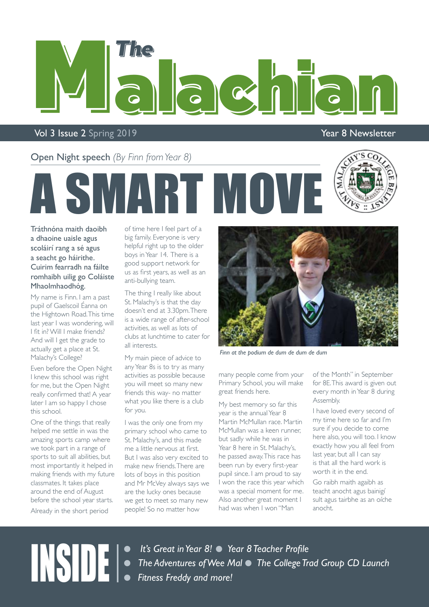

#### Vol 3 Issue 2 Spring 2019 **You are also asset to the Contract Contract Contract Contract Contract Contract Contract Contract Contract Contract Contract Contract Contract Contract Contract Contract Contract Contract Contrac**

Open Night speech *(By Finn from Year 8)*



Tráthnóna maith daoibh a dhaoine uaisle agus scoláirí rang a sé agus a seacht go háirithe. Cuirim fearradh na fáilte romhaibh uilig go Coláiste Mhaolmhaodhóg.

My name is Finn. I am a past pupil of Gaelscoil Éanna on the Hightown Road. This time last year I was wondering, will I fit in? Will I make friends? And will I get the grade to actually get a place at St. Malachy's College?

Even before the Open Night I knew this school was right for me, but the Open Night really confirmed that! A year later I am so happy I chose this school.

One of the things that really helped me settle in was the amazing sports camp where we took part in a range of sports to suit all abilities, but most importantly it helped in making friends with my future classmates. It takes place around the end of August before the school year starts. Already in the short period

of time here I feel part of a big family. Everyone is very helpful right up to the older boys in Year 14. There is a good support network for us as first years, as well as an anti-bullying team.

**MART MO** 

The thing I really like about St. Malachy's is that the day doesn't end at 3.30pm. There is a wide range of after-school activities, as well as lots of clubs at lunchtime to cater for all interests.

My main piece of advice to any Year 8s is to try as many activities as possible because you will meet so many new friends this way- no matter what you like there is a club for you.

I was the only one from my primary school who came to St. Malachy's, and this made me a little nervous at first. But I was also very excited to make new friends. There are lots of boys in this position and Mr McVey always says we are the lucky ones because we get to meet so many new people! So no matter how



*Finn at the podium de dum de dum de dum*

many people come from your Primary School, you will make great friends here.

My best memory so far this year is the annual Year 8 Martin McMullan race. Martin McMullan was a keen runner, but sadly while he was in Year 8 here in St. Malachy's, he passed away. This race has been run by every first-year pupil since. I am proud to say I won the race this year which was a special moment for me. Also another great moment I had was when I won "Man

of the Month" in September for 8E. This award is given out every month in Year 8 during Assembly.

I have loved every second of my time here so far and I'm sure if you decide to come here also, you will too. I know exactly how you all feel from last year, but all I can say is that all the hard work is worth it in the end.

Go raibh maith agaibh as teacht anocht agus bainigí sult agus tairbhe as an oíche anocht.

**INSIDE let's Great in Year 8! • Year 8 Teacher Profile**<br>
• The Adventures of Wee Mal • The College Transferred and more! **• The Adventures of Wee Mal • The College Trad Group CD Launch •** Fitness Freddy and more!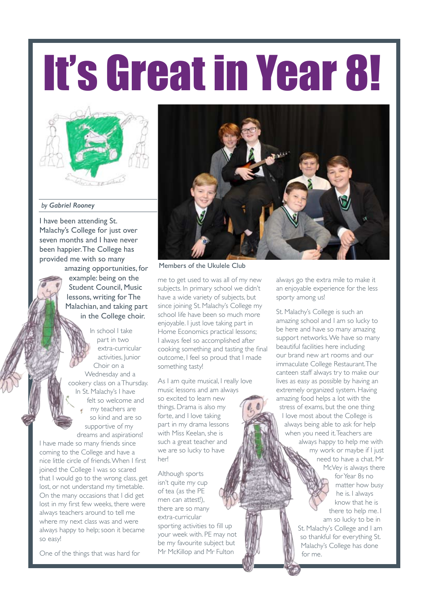# It's Great in Year 8!



#### *by Gabriel Rooney*

I have been attending St. Malachy's College for just over seven months and I have never been happier. The College has provided me with so many amazing opportunities, for

example: being on the Student Council, Music lessons, writing for The Malachian, and taking part in the College choir.

In school I take part in two extra-curricular activities, Junior Choir on a Wednesday and a cookery class on a Thursday. In St. Malachy's I have felt so welcome and my teachers are so kind and are so supportive of my dreams and aspirations!

I have made so many friends since coming to the College and have a nice little circle of friends. When I first joined the College I was so scared that I would go to the wrong class, get lost, or not understand my timetable. On the many occasions that I did get lost in my first few weeks, there were always teachers around to tell me where my next class was and were always happy to help; soon it became so easy!

One of the things that was hard for



Members of the Ukulele Club

me to get used to was all of my new subjects. In primary school we didn't have a wide variety of subjects, but since joining St. Malachy's College my school life have been so much more enjoyable. I just love taking part in Home Economics practical lessons; I always feel so accomplished after cooking something and tasting the final outcome, I feel so proud that I made something tasty!

As I am quite musical, I really love music lessons and am always so excited to learn new things. Drama is also my forte, and I love taking part in my drama lessons with Miss Keelan, she is such a great teacher and we are so lucky to have her!

Although sports isn't quite my cup of tea (as the PE men can attest!), there are so many extra-curricular sporting activities to fill up your week with. PE may not be my favourite subject but Mr McKillop and Mr Fulton

always go the extra mile to make it an enjoyable experience for the less sporty among us!

St. Malachy's College is such an amazing school and I am so lucky to be here and have so many amazing support networks. We have so many beautiful facilities here including our brand new art rooms and our immaculate College Restaurant. The canteen staff always try to make our lives as easy as possible by having an extremely organized system. Having amazing food helps a lot with the stress of exams, but the one thing I love most about the College is always being able to ask for help when you need it. Teachers are always happy to help me with my work or maybe if I just need to have a chat. Mr McVey is always there for Year 8s no

matter how busy he is. I always know that he is there to help me. I am so lucky to be in

St. Malachy's College and I am so thankful for everything St. Malachy's College has done for me.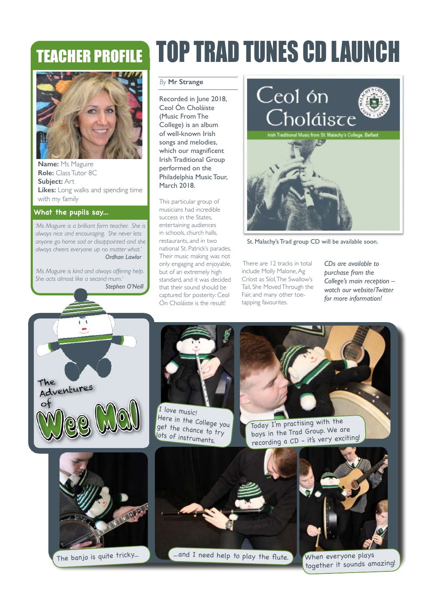### TEACHER PROFILE



**Name:** Ms Maguire **Role:** Class Tutor 8C **Subject:** Art **Likes:** Long walks and spending time with my family

#### **What the pupils say...**

*'Ms Maguire is a brilliant form teacher. She is always nice and encouraging. She never lets anyone go home sad or disappointed and she always cheers everyone up no matter what.' Ordhan Lawlor*

*'Ms Maguire is kind and always offering help. She acts almost like a second mum.' Stephen O'Neill* 

### TOP TRAD TUNES CD LAUNCH

#### *By* **Mr Strange**

Recorded in June 2018, Ceol Ón Choláiste (Music From The College) is an album of well-known Irish songs and melodies, which our magnificent Irish Traditional Group performed on the Philadelphia Music Tour, March 2018.

This particular group of musicians had incredible success in the States, entertaining audiences in schools, church halls, restaurants, and in two national St. Patrick's parades. Their music making was not only engaging and enjoyable, but of an extremely high standard, and it was decided that their sound should be captured for posterity: Ceol Ón Choláiste is the result!



St. Malachy's Trad group CD will be available soon.

 There are 12 tracks in total include Molly Malone, Ag Críost as Síol, The Swallow's Tail, She Moved Through the Fair, and many other toetapping favourites.

*CDs are available to purchase from the College's main reception – watch our website/Twitter for more information!*





I love music! Here in the College you get the chance to try lots of instruments.

Today I'm practising with the boys in the Trad Group. We are recording a CD - it's very exciting!





The banjo is quite tricky... ...and I need help to play the flute. When everyone plays



together it sounds amazing!